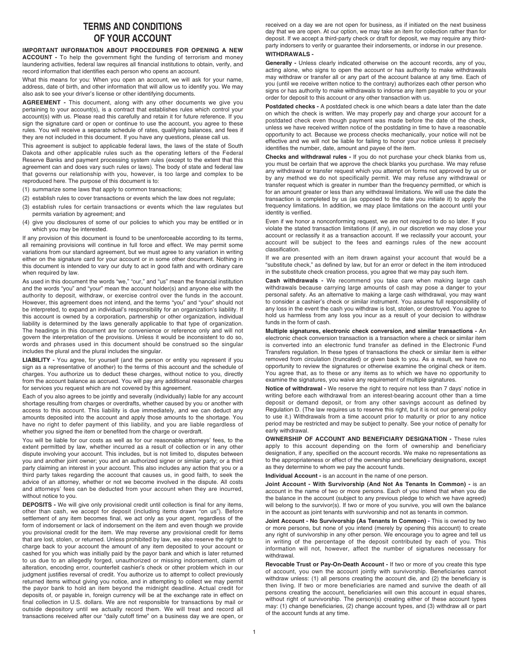## **TERMS AND CONDITIONS OF YOUR ACCOUNT**

**IMPORTANT INFORMATION ABOUT PROCEDURES FOR OPENING A NEW ACCOUNT -** To help the government fight the funding of terrorism and money laundering activities, federal law requires all financial institutions to obtain, verify, and record information that identifies each person who opens an account.

What this means for you: When you open an account, we will ask for your name, address, date of birth, and other information that will allow us to identify you. We may also ask to see your driver's license or other identifying documents.

**AGREEMENT -** This document, along with any other documents we give you pertaining to your account(s), is a contract that establishes rules which control your account(s) with us. Please read this carefully and retain it for future reference. If you sign the signature card or open or continue to use the account, you agree to these rules. You will receive a separate schedule of rates, qualifying balances, and fees if they are not included in this document. If you have any questions, please call us.

This agreement is subject to applicable federal laws, the laws of the state of South Dakota and other applicable rules such as the operating letters of the Federal Reserve Banks and payment processing system rules (except to the extent that this agreement can and does vary such rules or laws). The body of state and federal law that governs our relationship with you, however, is too large and complex to be reproduced here. The purpose of this document is to:

- (1) summarize some laws that apply to common transactions;
- (2) establish rules to cover transactions or events which the law does not regulate;
- (3) establish rules for certain transactions or events which the law regulates but permits variation by agreement; and
- (4) give you disclosures of some of our policies to which you may be entitled or in which you may be interested.

If any provision of this document is found to be unenforceable according to its terms, all remaining provisions will continue in full force and effect. We may permit some variations from our standard agreement, but we must agree to any variation in writing either on the signature card for your account or in some other document. Nothing in this document is intended to vary our duty to act in good faith and with ordinary care when required by law.

As used in this document the words "we," "our," and "us" mean the financial institution and the words "you" and "your" mean the account holder(s) and anyone else with the authority to deposit, withdraw, or exercise control over the funds in the account. However, this agreement does not intend, and the terms "you" and "your" should not be interpreted, to expand an individual's responsibility for an organization's liability. If this account is owned by a corporation, partnership or other organization, individual liability is determined by the laws generally applicable to that type of organization. The headings in this document are for convenience or reference only and will not govern the interpretation of the provisions. Unless it would be inconsistent to do so, words and phrases used in this document should be construed so the singular includes the plural and the plural includes the singular.

**LIABILITY -** You agree, for yourself (and the person or entity you represent if you sign as a representative of another) to the terms of this account and the schedule of charges. You authorize us to deduct these charges, without notice to you, directly from the account balance as accrued. You will pay any additional reasonable charges for services you request which are not covered by this agreement.

Each of you also agrees to be jointly and severally (individually) liable for any account shortage resulting from charges or overdrafts, whether caused by you or another with access to this account. This liability is due immediately, and we can deduct any amounts deposited into the account and apply those amounts to the shortage. You have no right to defer payment of this liability, and you are liable regardless of whether you signed the item or benefited from the charge or overdraft.

You will be liable for our costs as well as for our reasonable attorneys' fees, to the extent permitted by law, whether incurred as a result of collection or in any other dispute involving your account. This includes, but is not limited to, disputes between you and another joint owner; you and an authorized signer or similar party; or a third party claiming an interest in your account. This also includes any action that you or a third party takes regarding the account that causes us, in good faith, to seek the advice of an attorney, whether or not we become involved in the dispute. All costs and attorneys' fees can be deducted from your account when they are incurred, without notice to you.

**DEPOSITS -** We will give only provisional credit until collection is final for any items, other than cash, we accept for deposit (including items drawn "on us"). Before settlement of any item becomes final, we act only as your agent, regardless of the form of indorsement or lack of indorsement on the item and even though we provide you provisional credit for the item. We may reverse any provisional credit for items that are lost, stolen, or returned. Unless prohibited by law, we also reserve the right to charge back to your account the amount of any item deposited to your account or cashed for you which was initially paid by the payor bank and which is later returned to us due to an allegedly forged, unauthorized or missing indorsement, claim of alteration, encoding error, counterfeit cashier's check or other problem which in our judgment justifies reversal of credit. You authorize us to attempt to collect previously returned items without giving you notice, and in attempting to collect we may permit the payor bank to hold an item beyond the midnight deadline. Actual credit for deposits of, or payable in, foreign currency will be at the exchange rate in effect on final collection in U.S. dollars. We are not responsible for transactions by mail or outside depository until we actually record them. We will treat and record all transactions received after our "daily cutoff time" on a business day we are open, or

received on a day we are not open for business, as if initiated on the next business day that we are open. At our option, we may take an item for collection rather than for deposit. If we accept a third-party check or draft for deposit, we may require any thirdparty indorsers to verify or guarantee their indorsements, or indorse in our presence. **WITHDRAWALS -**

## **Generally -** Unless clearly indicated otherwise on the account records, any of you,

acting alone, who signs to open the account or has authority to make withdrawals may withdraw or transfer all or any part of the account balance at any time. Each of you (until we receive written notice to the contrary) authorizes each other person who signs or has authority to make withdrawals to indorse any item payable to you or your order for deposit to this account or any other transaction with us.

**Postdated checks -** A postdated check is one which bears a date later than the date on which the check is written. We may properly pay and charge your account for a postdated check even though payment was made before the date of the check, unless we have received written notice of the postdating in time to have a reasonable opportunity to act. Because we process checks mechanically, your notice will not be effective and we will not be liable for failing to honor your notice unless it precisely identifies the number, date, amount and payee of the item.

**Checks and withdrawal rules -** If you do not purchase your check blanks from us, you must be certain that we approve the check blanks you purchase. We may refuse any withdrawal or transfer request which you attempt on forms not approved by us or by any method we do not specifically permit. We may refuse any withdrawal or transfer request which is greater in number than the frequency permitted, or which is for an amount greater or less than any withdrawal limitations. We will use the date the transaction is completed by us (as opposed to the date you initiate it) to apply the frequency limitations. In addition, we may place limitations on the account until your identity is verified.

Even if we honor a nonconforming request, we are not required to do so later. If you violate the stated transaction limitations (if any), in our discretion we may close your account or reclassify it as a transaction account. If we reclassify your account, your account will be subject to the fees and earnings rules of the new account classification.

If we are presented with an item drawn against your account that would be a "substitute check," as defined by law, but for an error or defect in the item introduced in the substitute check creation process, you agree that we may pay such item.

**Cash withdrawals -** We recommend you take care when making large cash withdrawals because carrying large amounts of cash may pose a danger to your personal safety. As an alternative to making a large cash withdrawal, you may want to consider a cashier's check or similar instrument. You assume full responsibility of any loss in the event the cash you withdraw is lost, stolen, or destroyed. You agree to hold us harmless from any loss you incur as a result of your decision to withdraw funds in the form of cash.

**Multiple signatures, electronic check conversion, and similar transactions -** An electronic check conversion transaction is a transaction where a check or similar item is converted into an electronic fund transfer as defined in the Electronic Fund Transfers regulation. In these types of transactions the check or similar item is either removed from circulation (truncated) or given back to you. As a result, we have no opportunity to review the signatures or otherwise examine the original check or item. You agree that, as to these or any items as to which we have no opportunity to examine the signatures, you waive any requirement of multiple signatures.

**Notice of withdrawal -** We reserve the right to require not less than 7 days' notice in writing before each withdrawal from an interest-bearing account other than a time deposit or demand deposit, or from any other savings account as defined by Regulation D. (The law requires us to reserve this right, but it is not our general policy to use it.) Withdrawals from a time account prior to maturity or prior to any notice period may be restricted and may be subject to penalty. See your notice of penalty for early withdrawal.

**OWNERSHIP OF ACCOUNT AND BENEFICIARY DESIGNATION -** These rules apply to this account depending on the form of ownership and beneficiary designation, if any, specified on the account records. We make no representations as to the appropriateness or effect of the ownership and beneficiary designations, except as they determine to whom we pay the account funds.

**Individual Account -** is an account in the name of one person.

**Joint Account - With Survivorship (And Not As Tenants In Common) -** is an account in the name of two or more persons. Each of you intend that when you die the balance in the account (subject to any previous pledge to which we have agreed) will belong to the survivor(s). If two or more of you survive, you will own the balance in the account as joint tenants with survivorship and not as tenants in common.

**Joint Account - No Survivorship (As Tenants In Common) -** This is owned by two or more persons, but none of you intend (merely by opening this account) to create any right of survivorship in any other person. We encourage you to agree and tell us in writing of the percentage of the deposit contributed by each of you. This information will not, however, affect the number of signatures necessary for withdrawal.

**Revocable Trust or Pay-On-Death Account -** If two or more of you create this type of account, you own the account jointly with survivorship. Beneficiaries cannot withdraw unless: (1) all persons creating the account die, and (2) the beneficiary is then living. If two or more beneficiaries are named and survive the death of all persons creating the account, beneficiaries will own this account in equal shares, without right of survivorship. The person(s) creating either of these account types may: (1) change beneficiaries, (2) change account types, and (3) withdraw all or part of the account funds at any time.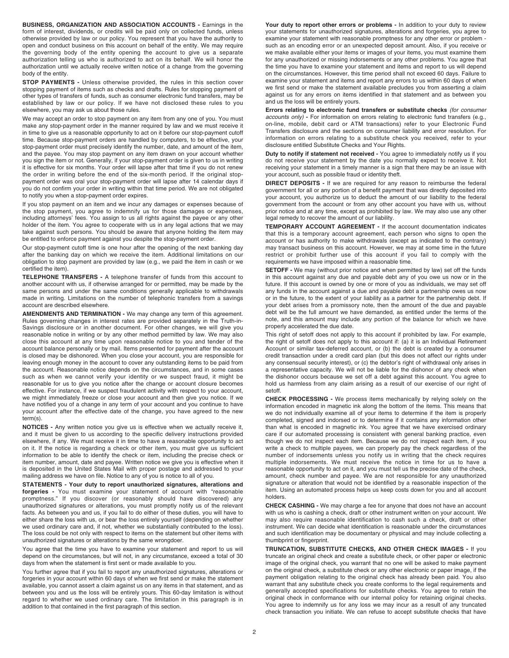**BUSINESS, ORGANIZATION AND ASSOCIATION ACCOUNTS -** Earnings in the form of interest, dividends, or credits will be paid only on collected funds, unless otherwise provided by law or our policy. You represent that you have the authority to open and conduct business on this account on behalf of the entity. We may require the governing body of the entity opening the account to give us a separate authorization telling us who is authorized to act on its behalf. We will honor the authorization until we actually receive written notice of a change from the governing body of the entity.

**STOP PAYMENTS -** Unless otherwise provided, the rules in this section cover stopping payment of items such as checks and drafts. Rules for stopping payment of other types of transfers of funds, such as consumer electronic fund transfers, may be established by law or our policy. If we have not disclosed these rules to you elsewhere, you may ask us about those rules.

We may accept an order to stop payment on any item from any one of you. You must make any stop-payment order in the manner required by law and we must receive it in time to give us a reasonable opportunity to act on it before our stop-payment cutoff time. Because stop-payment orders are handled by computers, to be effective, your stop-payment order must precisely identify the number, date, and amount of the item, and the payee. You may stop payment on any item drawn on your account whether you sign the item or not. Generally, if your stop-payment order is given to us in writing it is effective for six months. Your order will lapse after that time if you do not renew the order in writing before the end of the six-month period. If the original stoppayment order was oral your stop-payment order will lapse after 14 calendar days if you do not confirm your order in writing within that time period. We are not obligated to notify you when a stop-payment order expires.

If you stop payment on an item and we incur any damages or expenses because of the stop payment, you agree to indemnify us for those damages or expenses, including attorneys' fees. You assign to us all rights against the payee or any other holder of the item. You agree to cooperate with us in any legal actions that we may take against such persons. You should be aware that anyone holding the item may be entitled to enforce payment against you despite the stop-payment order.

Our stop-payment cutoff time is one hour after the opening of the next banking day after the banking day on which we receive the item. Additional limitations on our obligation to stop payment are provided by law (e.g., we paid the item in cash or we certified the item).

**TELEPHONE TRANSFERS -** A telephone transfer of funds from this account to another account with us, if otherwise arranged for or permitted, may be made by the same persons and under the same conditions generally applicable to withdrawals made in writing. Limitations on the number of telephonic transfers from a savings account are described elsewhere.

**AMENDMENTS AND TERMINATION -** We may change any term of this agreement. Rules governing changes in interest rates are provided separately in the Truth-in-Savings disclosure or in another document. For other changes, we will give you reasonable notice in writing or by any other method permitted by law. We may also close this account at any time upon reasonable notice to you and tender of the account balance personally or by mail. Items presented for payment after the account is closed may be dishonored. When you close your account, you are responsible for leaving enough money in the account to cover any outstanding items to be paid from the account. Reasonable notice depends on the circumstances, and in some cases such as when we cannot verify your identity or we suspect fraud, it might be reasonable for us to give you notice after the change or account closure becomes effective. For instance, if we suspect fraudulent activity with respect to your account, we might immediately freeze or close your account and then give you notice. If we have notified you of a change in any term of your account and you continue to have your account after the effective date of the change, you have agreed to the new term(s).

**NOTICES -** Any written notice you give us is effective when we actually receive it, and it must be given to us according to the specific delivery instructions provided elsewhere, if any. We must receive it in time to have a reasonable opportunity to act on it. If the notice is regarding a check or other item, you must give us sufficient information to be able to identify the check or item, including the precise check or item number, amount, date and payee. Written notice we give you is effective when it is deposited in the United States Mail with proper postage and addressed to your mailing address we have on file. Notice to any of you is notice to all of you.

**STATEMENTS - Your duty to report unauthorized signatures, alterations and forgeries -** You must examine your statement of account with "reasonable promptness." If you discover (or reasonably should have discovered) any unauthorized signatures or alterations, you must promptly notify us of the relevant facts. As between you and us, if you fail to do either of these duties, you will have to either share the loss with us, or bear the loss entirely yourself (depending on whether we used ordinary care and, if not, whether we substantially contributed to the loss). The loss could be not only with respect to items on the statement but other items with unauthorized signatures or alterations by the same wrongdoer.

You agree that the time you have to examine your statement and report to us will depend on the circumstances, but will not, in any circumstance, exceed a total of 30 days from when the statement is first sent or made available to you.

You further agree that if you fail to report any unauthorized signatures, alterations or forgeries in your account within 60 days of when we first send or make the statement available, you cannot assert a claim against us on any items in that statement, and as between you and us the loss will be entirely yours. This 60-day limitation is without regard to whether we used ordinary care. The limitation in this paragraph is in addition to that contained in the first paragraph of this section.

Your duty to report other errors or problems - In addition to your duty to review your statements for unauthorized signatures, alterations and forgeries, you agree to examine your statement with reasonable promptness for any other error or problem such as an encoding error or an unexpected deposit amount. Also, if you receive or we make available either your items or images of your items, you must examine them for any unauthorized or missing indorsements or any other problems. You agree that the time you have to examine your statement and items and report to us will depend on the circumstances. However, this time period shall not exceed 60 days. Failure to examine your statement and items and report any errors to us within 60 days of when we first send or make the statement available precludes you from asserting a claim against us for any errors on items identified in that statement and as between you and us the loss will be entirely yours.

**Errors relating to electronic fund transfers or substitute checks** (for consumer accounts only) **-** For information on errors relating to electronic fund transfers (e.g., on-line, mobile, debit card or ATM transactions) refer to your Electronic Fund Transfers disclosure and the sections on consumer liability and error resolution. For information on errors relating to a substitute check you received, refer to your disclosure entitled Substitute Checks and Your Rights.

**Duty to notify if statement not received -** You agree to immediately notify us if you do not receive your statement by the date you normally expect to receive it. Not receiving your statement in a timely manner is a sign that there may be an issue with your account, such as possible fraud or identity theft.

**DIRECT DEPOSITS -** If we are required for any reason to reimburse the federal government for all or any portion of a benefit payment that was directly deposited into your account, you authorize us to deduct the amount of our liability to the federal government from the account or from any other account you have with us, without prior notice and at any time, except as prohibited by law. We may also use any other legal remedy to recover the amount of our liability.

**TEMPORARY ACCOUNT AGREEMENT -** If the account documentation indicates that this is a temporary account agreement, each person who signs to open the account or has authority to make withdrawals (except as indicated to the contrary) may transact business on this account. However, we may at some time in the future restrict or prohibit further use of this account if you fail to comply with the requirements we have imposed within a reasonable time.

**SETOFF -** We may (without prior notice and when permitted by law) set off the funds in this account against any due and payable debt any of you owe us now or in the future. If this account is owned by one or more of you as individuals, we may set off any funds in the account against a due and payable debt a partnership owes us now or in the future, to the extent of your liability as a partner for the partnership debt. If your debt arises from a promissory note, then the amount of the due and payable debt will be the full amount we have demanded, as entitled under the terms of the note, and this amount may include any portion of the balance for which we have properly accelerated the due date.

This right of setoff does not apply to this account if prohibited by law. For example, the right of setoff does not apply to this account if: (a) it is an Individual Retirement Account or similar tax-deferred account, or (b) the debt is created by a consumer credit transaction under a credit card plan (but this does not affect our rights under any consensual security interest), or (c) the debtor's right of withdrawal only arises in a representative capacity. We will not be liable for the dishonor of any check when the dishonor occurs because we set off a debt against this account. You agree to hold us harmless from any claim arising as a result of our exercise of our right of setoff.

**CHECK PROCESSING -** We process items mechanically by relying solely on the information encoded in magnetic ink along the bottom of the items. This means that we do not individually examine all of your items to determine if the item is properly completed, signed and indorsed or to determine if it contains any information other than what is encoded in magnetic ink. You agree that we have exercised ordinary care if our automated processing is consistent with general banking practice, even though we do not inspect each item. Because we do not inspect each item, if you write a check to multiple payees, we can properly pay the check regardless of the number of indorsements unless you notify us in writing that the check requires multiple indorsements. We must receive the notice in time for us to have a reasonable opportunity to act on it, and you must tell us the precise date of the check, amount, check number and payee. We are not responsible for any unauthorized signature or alteration that would not be identified by a reasonable inspection of the item. Using an automated process helps us keep costs down for you and all account holders.

**CHECK CASHING -** We may charge a fee for anyone that does not have an account with us who is cashing a check, draft or other instrument written on your account. We may also require reasonable identification to cash such a check, draft or other instrument. We can decide what identification is reasonable under the circumstances and such identification may be documentary or physical and may include collecting a thumbprint or fingerprint.

**TRUNCATION, SUBSTITUTE CHECKS, AND OTHER CHECK IMAGES -** If you truncate an original check and create a substitute check, or other paper or electronic image of the original check, you warrant that no one will be asked to make payment on the original check, a substitute check or any other electronic or paper image, if the payment obligation relating to the original check has already been paid. You also warrant that any substitute check you create conforms to the legal requirements and generally accepted specifications for substitute checks. You agree to retain the original check in conformance with our internal policy for retaining original checks. You agree to indemnify us for any loss we may incur as a result of any truncated check transaction you initiate. We can refuse to accept substitute checks that have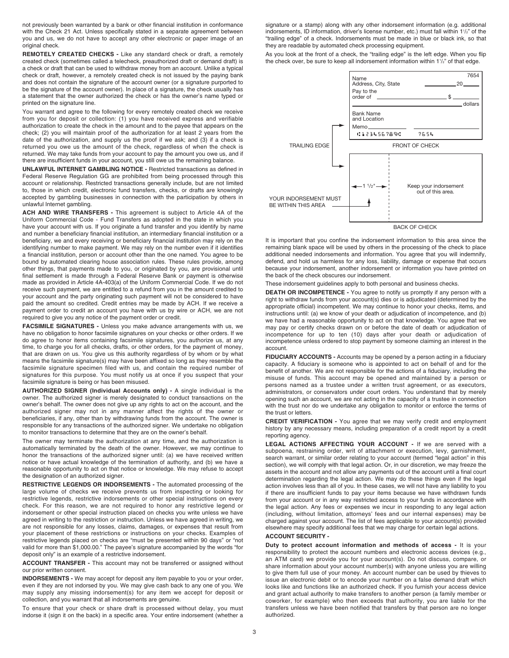not previously been warranted by a bank or other financial institution in conformance with the Check 21 Act. Unless specifically stated in a separate agreement between you and us, we do not have to accept any other electronic or paper image of an original check.

**REMOTELY CREATED CHECKS -** Like any standard check or draft, a remotely created check (sometimes called a telecheck, preauthorized draft or demand draft) is a check or draft that can be used to withdraw money from an account. Unlike a typical check or draft, however, a remotely created check is not issued by the paying bank and does not contain the signature of the account owner (or a signature purported to be the signature of the account owner). In place of a signature, the check usually has a statement that the owner authorized the check or has the owner's name typed or printed on the signature line.

You warrant and agree to the following for every remotely created check we receive from you for deposit or collection: (1) you have received express and verifiable authorization to create the check in the amount and to the payee that appears on the check; (2) you will maintain proof of the authorization for at least 2 years from the date of the authorization, and supply us the proof if we ask; and (3) if a check is returned you owe us the amount of the check, regardless of when the check is returned. We may take funds from your account to pay the amount you owe us, and if there are insufficient funds in your account, you still owe us the remaining balance.

**UNLAWFUL INTERNET GAMBLING NOTICE -** Restricted transactions as defined in Federal Reserve Regulation GG are prohibited from being processed through this account or relationship. Restricted transactions generally include, but are not limited to, those in which credit, electronic fund transfers, checks, or drafts are knowingly accepted by gambling businesses in connection with the participation by others in unlawful Internet gambling.

**ACH AND WIRE TRANSFERS -** This agreement is subject to Article 4A of the Uniform Commercial Code - Fund Transfers as adopted in the state in which you have your account with us. If you originate a fund transfer and you identify by name and number a beneficiary financial institution, an intermediary financial institution or a beneficiary, we and every receiving or beneficiary financial institution may rely on the identifying number to make payment. We may rely on the number even if it identifies a financial institution, person or account other than the one named. You agree to be bound by automated clearing house association rules. These rules provide, among other things, that payments made to you, or originated by you, are provisional until final settlement is made through a Federal Reserve Bank or payment is otherwise made as provided in Article 4A-403(a) of the Uniform Commercial Code. If we do not receive such payment, we are entitled to a refund from you in the amount credited to your account and the party originating such payment will not be considered to have paid the amount so credited. Credit entries may be made by ACH. If we receive a payment order to credit an account you have with us by wire or ACH, we are not required to give you any notice of the payment order or credit.

**FACSIMILE SIGNATURES -** Unless you make advance arrangements with us, we have no obligation to honor facsimile signatures on your checks or other orders. If we do agree to honor items containing facsimile signatures, you authorize us, at any time, to charge you for all checks, drafts, or other orders, for the payment of money, that are drawn on us. You give us this authority regardless of by whom or by what means the facsimile signature(s) may have been affixed so long as they resemble the facsimile signature specimen filed with us, and contain the required number of signatures for this purpose. You must notify us at once if you suspect that your facsimile signature is being or has been misused.

**AUTHORIZED SIGNER (Individual Accounts only) -** A single individual is the owner. The authorized signer is merely designated to conduct transactions on the owner's behalf. The owner does not give up any rights to act on the account, and the authorized signer may not in any manner affect the rights of the owner or beneficiaries, if any, other than by withdrawing funds from the account. The owner is responsible for any transactions of the authorized signer. We undertake no obligation to monitor transactions to determine that they are on the owner's behalf.

The owner may terminate the authorization at any time, and the authorization is automatically terminated by the death of the owner. However, we may continue to honor the transactions of the authorized signer until: (a) we have received written notice or have actual knowledge of the termination of authority, and (b) we have a reasonable opportunity to act on that notice or knowledge. We may refuse to accept the designation of an authorized signer.

**RESTRICTIVE LEGENDS OR INDORSEMENTS -** The automated processing of the large volume of checks we receive prevents us from inspecting or looking for restrictive legends, restrictive indorsements or other special instructions on every check. For this reason, we are not required to honor any restrictive legend or indorsement or other special instruction placed on checks you write unless we have agreed in writing to the restriction or instruction. Unless we have agreed in writing, we are not responsible for any losses, claims, damages, or expenses that result from your placement of these restrictions or instructions on your checks. Examples of restrictive legends placed on checks are "must be presented within 90 days" or "not valid for more than \$1,000.00." The payee's signature accompanied by the words "for deposit only" is an example of a restrictive indorsement.

**ACCOUNT TRANSFER -** This account may not be transferred or assigned without our prior written consent.

**INDORSEMENTS -** We may accept for deposit any item payable to you or your order, even if they are not indorsed by you. We may give cash back to any one of you. We may supply any missing indorsement(s) for any item we accept for deposit or collection, and you warrant that all indorsements are genuine.

To ensure that your check or share draft is processed without delay, you must indorse it (sign it on the back) in a specific area. Your entire indorsement (whether a signature or a stamp) along with any other indorsement information (e.g. additional indorsements, ID information, driver's license number, etc.) must fall within 1<sup>1</sup>/<sub>2</sub>" of the "trailing edge" of a check. Indorsements must be made in blue or black ink, so that they are readable by automated check processing equipment.

As you look at the front of a check, the "trailing edge" is the left edge. When you flip the check over, be sure to keep all indorsement information within  $1\frac{1}{2}$ " of that edge.



It is important that you confine the indorsement information to this area since the remaining blank space will be used by others in the processing of the check to place additional needed indorsements and information. You agree that you will indemnify, defend, and hold us harmless for any loss, liability, damage or expense that occurs because your indorsement, another indorsement or information you have printed on the back of the check obscures our indorsement.

These indorsement guidelines apply to both personal and business checks.

**DEATH OR INCOMPETENCE -** You agree to notify us promptly if any person with a right to withdraw funds from your account(s) dies or is adjudicated (determined by the appropriate official) incompetent. We may continue to honor your checks, items, and instructions until: (a) we know of your death or adjudication of incompetence, and (b) we have had a reasonable opportunity to act on that knowledge. You agree that we may pay or certify checks drawn on or before the date of death or adjudication of incompetence for up to ten (10) days after your death or adjudication of incompetence unless ordered to stop payment by someone claiming an interest in the account.

**FIDUCIARY ACCOUNTS -** Accounts may be opened by a person acting in a fiduciary capacity. A fiduciary is someone who is appointed to act on behalf of and for the benefit of another. We are not responsible for the actions of a fiduciary, including the misuse of funds. This account may be opened and maintained by a person or persons named as a trustee under a written trust agreement, or as executors, administrators, or conservators under court orders. You understand that by merely opening such an account, we are not acting in the capacity of a trustee in connection with the trust nor do we undertake any obligation to monitor or enforce the terms of the trust or letters.

**CREDIT VERIFICATION -** You agree that we may verify credit and employment history by any necessary means, including preparation of a credit report by a credit reporting agency.

**LEGAL ACTIONS AFFECTING YOUR ACCOUNT -** If we are served with a subpoena, restraining order, writ of attachment or execution, levy, garnishment, search warrant, or similar order relating to your account (termed "legal action" in this section), we will comply with that legal action. Or, in our discretion, we may freeze the assets in the account and not allow any payments out of the account until a final court determination regarding the legal action. We may do these things even if the legal action involves less than all of you. In these cases, we will not have any liability to you if there are insufficient funds to pay your items because we have withdrawn funds from your account or in any way restricted access to your funds in accordance with the legal action. Any fees or expenses we incur in responding to any legal action (including, without limitation, attorneys' fees and our internal expenses) may be charged against your account. The list of fees applicable to your account(s) provided elsewhere may specify additional fees that we may charge for certain legal actions.

## **ACCOUNT SECURITY -**

**Duty to protect account information and methods of access -** It is your responsibility to protect the account numbers and electronic access devices (e.g., an ATM card) we provide you for your account(s). Do not discuss, compare, or share information about your account number(s) with anyone unless you are willing to give them full use of your money. An account number can be used by thieves to issue an electronic debit or to encode your number on a false demand draft which looks like and functions like an authorized check. If you furnish your access device and grant actual authority to make transfers to another person (a family member or coworker, for example) who then exceeds that authority, you are liable for the transfers unless we have been notified that transfers by that person are no longer authorized.